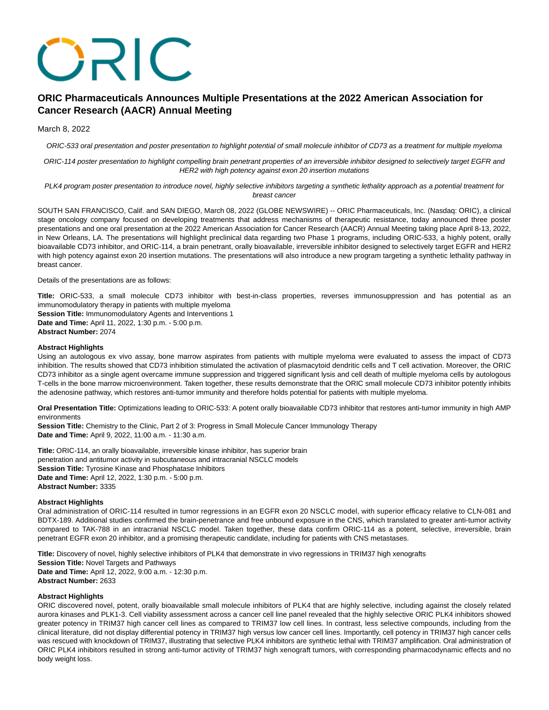# ORIC

# **ORIC Pharmaceuticals Announces Multiple Presentations at the 2022 American Association for Cancer Research (AACR) Annual Meeting**

### March 8, 2022

ORIC-533 oral presentation and poster presentation to highlight potential of small molecule inhibitor of CD73 as a treatment for multiple myeloma

ORIC-114 poster presentation to highlight compelling brain penetrant properties of an irreversible inhibitor designed to selectively target EGFR and HER2 with high potency against exon 20 insertion mutations

PLK4 program poster presentation to introduce novel, highly selective inhibitors targeting a synthetic lethality approach as a potential treatment for breast cancer

SOUTH SAN FRANCISCO, Calif. and SAN DIEGO, March 08, 2022 (GLOBE NEWSWIRE) -- ORIC Pharmaceuticals, Inc. (Nasdaq: ORIC), a clinical stage oncology company focused on developing treatments that address mechanisms of therapeutic resistance, today announced three poster presentations and one oral presentation at the 2022 American Association for Cancer Research (AACR) Annual Meeting taking place April 8-13, 2022, in New Orleans, LA. The presentations will highlight preclinical data regarding two Phase 1 programs, including ORIC-533, a highly potent, orally bioavailable CD73 inhibitor, and ORIC-114, a brain penetrant, orally bioavailable, irreversible inhibitor designed to selectively target EGFR and HER2 with high potency against exon 20 insertion mutations. The presentations will also introduce a new program targeting a synthetic lethality pathway in breast cancer.

Details of the presentations are as follows:

**Title:** ORIC-533, a small molecule CD73 inhibitor with best-in-class properties, reverses immunosuppression and has potential as an immunomodulatory therapy in patients with multiple myeloma

**Session Title:** Immunomodulatory Agents and Interventions 1 **Date and Time:** April 11, 2022, 1:30 p.m. - 5:00 p.m. **Abstract Number:** 2074

### **Abstract Highlights**

Using an autologous ex vivo assay, bone marrow aspirates from patients with multiple myeloma were evaluated to assess the impact of CD73 inhibition. The results showed that CD73 inhibition stimulated the activation of plasmacytoid dendritic cells and T cell activation. Moreover, the ORIC CD73 inhibitor as a single agent overcame immune suppression and triggered significant lysis and cell death of multiple myeloma cells by autologous T-cells in the bone marrow microenvironment. Taken together, these results demonstrate that the ORIC small molecule CD73 inhibitor potently inhibits the adenosine pathway, which restores anti-tumor immunity and therefore holds potential for patients with multiple myeloma.

**Oral Presentation Title:** Optimizations leading to ORIC-533: A potent orally bioavailable CD73 inhibitor that restores anti-tumor immunity in high AMP environments

**Session Title:** Chemistry to the Clinic, Part 2 of 3: Progress in Small Molecule Cancer Immunology Therapy **Date and Time:** April 9, 2022, 11:00 a.m. - 11:30 a.m.

**Title:** ORIC-114, an orally bioavailable, irreversible kinase inhibitor, has superior brain penetration and antitumor activity in subcutaneous and intracranial NSCLC models **Session Title:** Tyrosine Kinase and Phosphatase Inhibitors **Date and Time:** April 12, 2022, 1:30 p.m. - 5:00 p.m. **Abstract Number:** 3335

### **Abstract Highlights**

Oral administration of ORIC-114 resulted in tumor regressions in an EGFR exon 20 NSCLC model, with superior efficacy relative to CLN-081 and BDTX-189. Additional studies confirmed the brain-penetrance and free unbound exposure in the CNS, which translated to greater anti-tumor activity compared to TAK-788 in an intracranial NSCLC model. Taken together, these data confirm ORIC-114 as a potent, selective, irreversible, brain penetrant EGFR exon 20 inhibitor, and a promising therapeutic candidate, including for patients with CNS metastases.

**Title:** Discovery of novel, highly selective inhibitors of PLK4 that demonstrate in vivo regressions in TRIM37 high xenografts **Session Title:** Novel Targets and Pathways **Date and Time:** April 12, 2022, 9:00 a.m. - 12:30 p.m. **Abstract Number:** 2633

### **Abstract Highlights**

ORIC discovered novel, potent, orally bioavailable small molecule inhibitors of PLK4 that are highly selective, including against the closely related aurora kinases and PLK1-3. Cell viability assessment across a cancer cell line panel revealed that the highly selective ORIC PLK4 inhibitors showed greater potency in TRIM37 high cancer cell lines as compared to TRIM37 low cell lines. In contrast, less selective compounds, including from the clinical literature, did not display differential potency in TRIM37 high versus low cancer cell lines. Importantly, cell potency in TRIM37 high cancer cells was rescued with knockdown of TRIM37, illustrating that selective PLK4 inhibitors are synthetic lethal with TRIM37 amplification. Oral administration of ORIC PLK4 inhibitors resulted in strong anti-tumor activity of TRIM37 high xenograft tumors, with corresponding pharmacodynamic effects and no body weight loss.